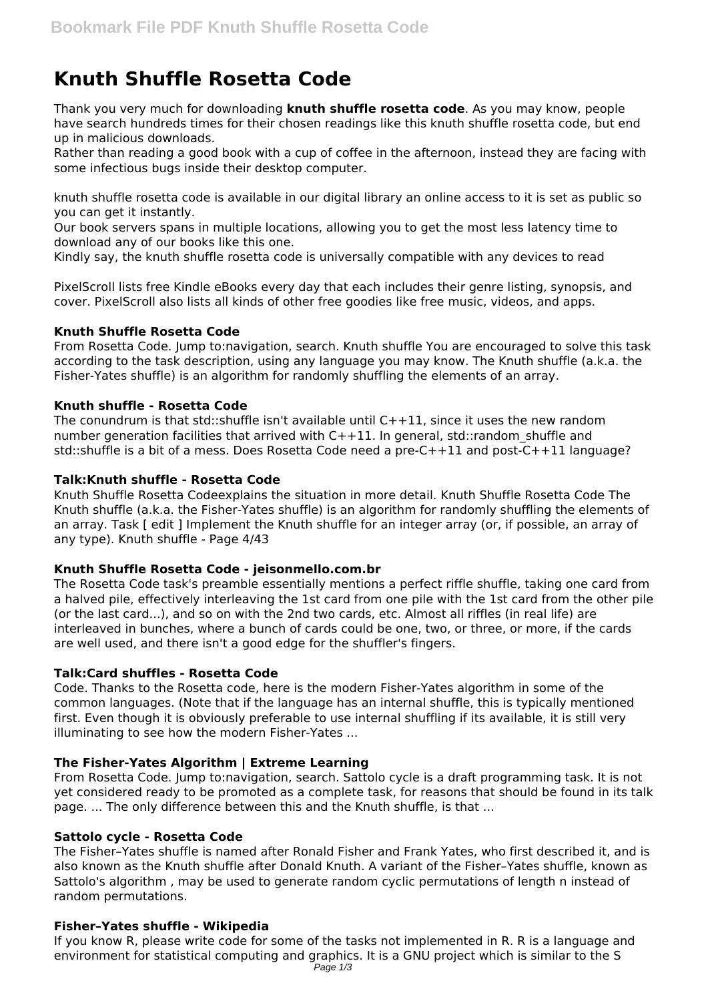# **Knuth Shuffle Rosetta Code**

Thank you very much for downloading **knuth shuffle rosetta code**. As you may know, people have search hundreds times for their chosen readings like this knuth shuffle rosetta code, but end up in malicious downloads.

Rather than reading a good book with a cup of coffee in the afternoon, instead they are facing with some infectious bugs inside their desktop computer.

knuth shuffle rosetta code is available in our digital library an online access to it is set as public so you can get it instantly.

Our book servers spans in multiple locations, allowing you to get the most less latency time to download any of our books like this one.

Kindly say, the knuth shuffle rosetta code is universally compatible with any devices to read

PixelScroll lists free Kindle eBooks every day that each includes their genre listing, synopsis, and cover. PixelScroll also lists all kinds of other free goodies like free music, videos, and apps.

# **Knuth Shuffle Rosetta Code**

From Rosetta Code. Jump to:navigation, search. Knuth shuffle You are encouraged to solve this task according to the task description, using any language you may know. The Knuth shuffle (a.k.a. the Fisher-Yates shuffle) is an algorithm for randomly shuffling the elements of an array.

## **Knuth shuffle - Rosetta Code**

The conundrum is that std::shuffle isn't available until  $C++11$ , since it uses the new random number generation facilities that arrived with C++11. In general, std::random shuffle and std::shuffle is a bit of a mess. Does Rosetta Code need a pre-C++11 and post-C++11 language?

## **Talk:Knuth shuffle - Rosetta Code**

Knuth Shuffle Rosetta Codeexplains the situation in more detail. Knuth Shuffle Rosetta Code The Knuth shuffle (a.k.a. the Fisher-Yates shuffle) is an algorithm for randomly shuffling the elements of an array. Task [ edit ] Implement the Knuth shuffle for an integer array (or, if possible, an array of any type). Knuth shuffle - Page 4/43

# **Knuth Shuffle Rosetta Code - jeisonmello.com.br**

The Rosetta Code task's preamble essentially mentions a perfect riffle shuffle, taking one card from a halved pile, effectively interleaving the 1st card from one pile with the 1st card from the other pile (or the last card...), and so on with the 2nd two cards, etc. Almost all riffles (in real life) are interleaved in bunches, where a bunch of cards could be one, two, or three, or more, if the cards are well used, and there isn't a good edge for the shuffler's fingers.

# **Talk:Card shuffles - Rosetta Code**

Code. Thanks to the Rosetta code, here is the modern Fisher-Yates algorithm in some of the common languages. (Note that if the language has an internal shuffle, this is typically mentioned first. Even though it is obviously preferable to use internal shuffling if its available, it is still very illuminating to see how the modern Fisher-Yates ...

# **The Fisher-Yates Algorithm | Extreme Learning**

From Rosetta Code. Jump to:navigation, search. Sattolo cycle is a draft programming task. It is not yet considered ready to be promoted as a complete task, for reasons that should be found in its talk page. ... The only difference between this and the Knuth shuffle, is that ...

#### **Sattolo cycle - Rosetta Code**

The Fisher–Yates shuffle is named after Ronald Fisher and Frank Yates, who first described it, and is also known as the Knuth shuffle after Donald Knuth. A variant of the Fisher–Yates shuffle, known as Sattolo's algorithm , may be used to generate random cyclic permutations of length n instead of random permutations.

#### **Fisher–Yates shuffle - Wikipedia**

If you know R, please write code for some of the tasks not implemented in R. R is a language and environment for statistical computing and graphics. It is a GNU project which is similar to the S Page 1/3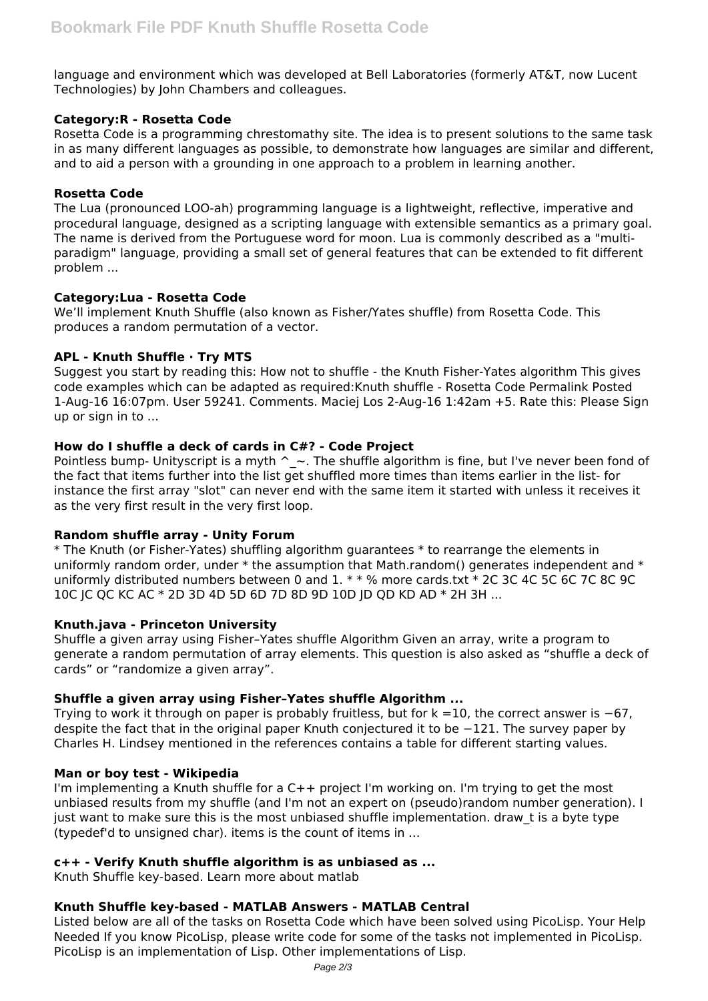language and environment which was developed at Bell Laboratories (formerly AT&T, now Lucent Technologies) by John Chambers and colleagues.

# **Category:R - Rosetta Code**

Rosetta Code is a programming chrestomathy site. The idea is to present solutions to the same task in as many different languages as possible, to demonstrate how languages are similar and different, and to aid a person with a grounding in one approach to a problem in learning another.

## **Rosetta Code**

The Lua (pronounced LOO-ah) programming language is a lightweight, reflective, imperative and procedural language, designed as a scripting language with extensible semantics as a primary goal. The name is derived from the Portuguese word for moon. Lua is commonly described as a "multiparadigm" language, providing a small set of general features that can be extended to fit different problem ...

## **Category:Lua - Rosetta Code**

We'll implement Knuth Shuffle (also known as Fisher/Yates shuffle) from Rosetta Code. This produces a random permutation of a vector.

# **APL - Knuth Shuffle · Try MTS**

Suggest you start by reading this: How not to shuffle - the Knuth Fisher-Yates algorithm This gives code examples which can be adapted as required:Knuth shuffle - Rosetta Code Permalink Posted 1-Aug-16 16:07pm. User 59241. Comments. Maciej Los 2-Aug-16 1:42am +5. Rate this: Please Sign up or sign in to ...

## **How do I shuffle a deck of cards in C#? - Code Project**

Pointless bump- Unityscript is a myth  $\sim$  - The shuffle algorithm is fine, but I've never been fond of the fact that items further into the list get shuffled more times than items earlier in the list- for instance the first array "slot" can never end with the same item it started with unless it receives it as the very first result in the very first loop.

# **Random shuffle array - Unity Forum**

\* The Knuth (or Fisher-Yates) shuffling algorithm guarantees \* to rearrange the elements in uniformly random order, under  $*$  the assumption that Math.random() generates independent and  $*$ uniformly distributed numbers between 0 and 1. \* \* % more cards.txt \* 2C 3C 4C 5C 6C 7C 8C 9C 10C JC QC KC AC \* 2D 3D 4D 5D 6D 7D 8D 9D 10D JD QD KD AD \* 2H 3H ...

#### **Knuth.java - Princeton University**

Shuffle a given array using Fisher–Yates shuffle Algorithm Given an array, write a program to generate a random permutation of array elements. This question is also asked as "shuffle a deck of cards" or "randomize a given array".

# **Shuffle a given array using Fisher–Yates shuffle Algorithm ...**

Trying to work it through on paper is probably fruitless, but for k =10, the correct answer is −67, despite the fact that in the original paper Knuth conjectured it to be −121. The survey paper by Charles H. Lindsey mentioned in the references contains a table for different starting values.

# **Man or boy test - Wikipedia**

I'm implementing a Knuth shuffle for a C++ project I'm working on. I'm trying to get the most unbiased results from my shuffle (and I'm not an expert on (pseudo)random number generation). I just want to make sure this is the most unbiased shuffle implementation, draw t is a byte type (typedef'd to unsigned char). items is the count of items in ...

# **c++ - Verify Knuth shuffle algorithm is as unbiased as ...**

Knuth Shuffle key-based. Learn more about matlab

# **Knuth Shuffle key-based - MATLAB Answers - MATLAB Central**

Listed below are all of the tasks on Rosetta Code which have been solved using PicoLisp. Your Help Needed If you know PicoLisp, please write code for some of the tasks not implemented in PicoLisp. PicoLisp is an implementation of Lisp. Other implementations of Lisp.